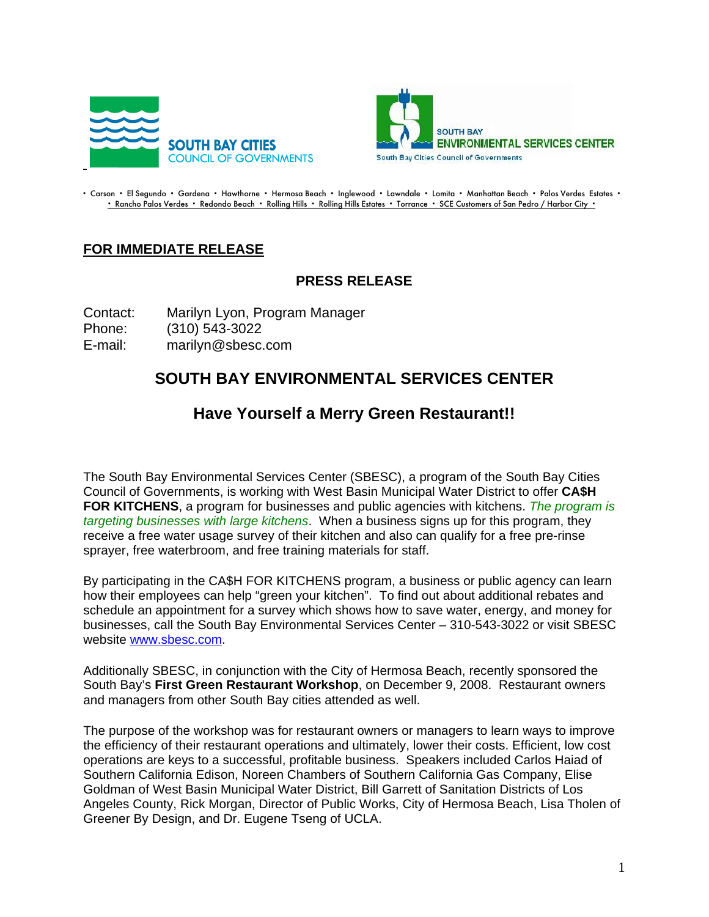



- Carson - El Segundo - Gardena - Hawthorne - Hermosa Beach - Inglewood - Lawndale - Lomita - Manhattan Beach - Palos Verdes Estates -• Rancho Palos Verdes • Redondo Beach • Rolling Hills • Rolling Hills Estates • Torrance • SCE Customers of San Pedro / Harbor City •

## **FOR IMMEDIATE RELEASE**

## **PRESS RELEASE**

Contact: Marilyn Lyon, Program Manager Phone: (310) 543-3022 E-mail: marilyn@sbesc.com

## **SOUTH BAY ENVIRONMENTAL SERVICES CENTER**

## **Have Yourself a Merry Green Restaurant!!**

The South Bay Environmental Services Center (SBESC), a program of the South Bay Cities Council of Governments, is working with West Basin Municipal Water District to offer **CA\$H FOR KITCHENS**, a program for businesses and public agencies with kitchens. *The program is targeting businesses with large kitchens*. When a business signs up for this program, they receive a free water usage survey of their kitchen and also can qualify for a free pre-rinse sprayer, free waterbroom, and free training materials for staff.

By participating in the CA\$H FOR KITCHENS program, a business or public agency can learn how their employees can help "green your kitchen". To find out about additional rebates and schedule an appointment for a survey which shows how to save water, energy, and money for businesses, call the South Bay Environmental Services Center – 310-543-3022 or visit SBESC website www.sbesc.com.

Additionally SBESC, in conjunction with the City of Hermosa Beach, recently sponsored the South Bay's **First Green Restaurant Workshop**, on December 9, 2008. Restaurant owners and managers from other South Bay cities attended as well.

The purpose of the workshop was for restaurant owners or managers to learn ways to improve the efficiency of their restaurant operations and ultimately, lower their costs. Efficient, low cost operations are keys to a successful, profitable business. Speakers included Carlos Haiad of Southern California Edison, Noreen Chambers of Southern California Gas Company, Elise Goldman of West Basin Municipal Water District, Bill Garrett of Sanitation Districts of Los Angeles County, Rick Morgan, Director of Public Works, City of Hermosa Beach, Lisa Tholen of Greener By Design, and Dr. Eugene Tseng of UCLA.